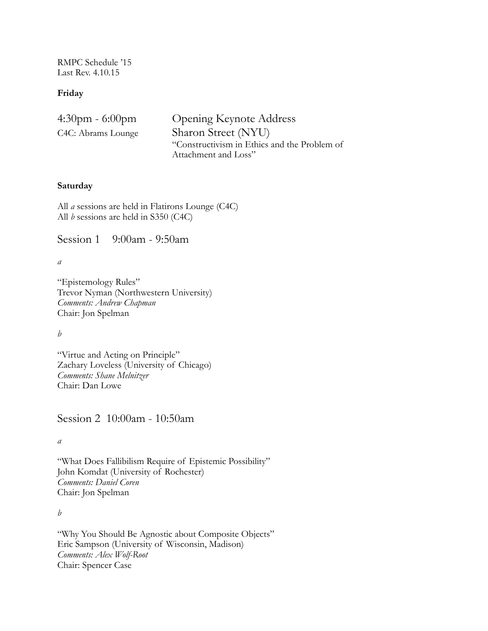RMPC Schedule '15 Last Rev. 4.10.15

## **Friday**

| 4:30pm - 6:00pm    | <b>Opening Keynote Address</b>               |
|--------------------|----------------------------------------------|
| C4C: Abrams Lounge | Sharon Street (NYU)                          |
|                    | "Constructivism in Ethics and the Problem of |
|                    | Attachment and Loss"                         |

## **Saturday**

All *a* sessions are held in Flatirons Lounge (C4C) All *b* sessions are held in S350 (C4C)

Session 1 9:00am - 9:50am

*a*

"Epistemology Rules" Trevor Nyman (Northwestern University) *Comments: Andrew Chapman* Chair: Jon Spelman

*b* 

"Virtue and Acting on Principle" Zachary Loveless (University of Chicago) *Comments: Shane Melnitzer* Chair: Dan Lowe

Session 2 10:00am - 10:50am

*a* 

"What Does Fallibilism Require of Epistemic Possibility" John Komdat (University of Rochester) *Comments: Daniel Coren*  Chair: Jon Spelman

*b*

"Why You Should Be Agnostic about Composite Objects" Eric Sampson (University of Wisconsin, Madison) *Comments: Alex Wolf-Root* Chair: Spencer Case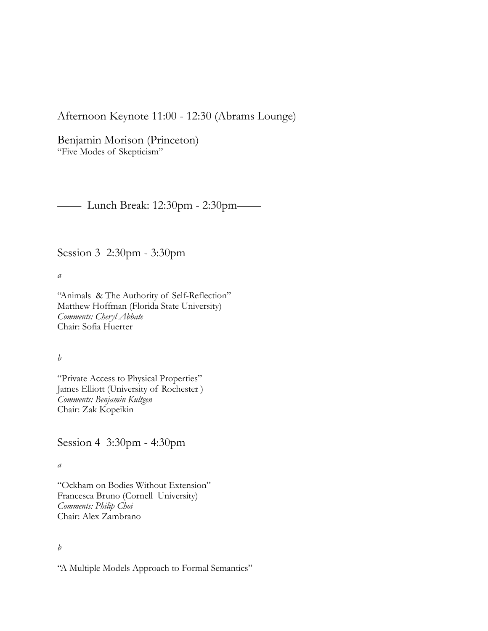Afternoon Keynote 11:00 - 12:30 (Abrams Lounge)

Benjamin Morison (Princeton) "Five Modes of Skepticism"

—— Lunch Break: 12:30pm - 2:30pm——

Session 3 2:30pm - 3:30pm

*a* 

"Animals & The Authority of Self-Reflection" Matthew Hoffman (Florida State University) *Comments: Cheryl Abbate* Chair: Sofia Huerter

*b* 

"Private Access to Physical Properties" James Elliott (University of Rochester ) *Comments: Benjamin Kultgen* Chair: Zak Kopeikin

Session 4 3:30pm - 4:30pm

*a* 

"Ockham on Bodies Without Extension" Francesca Bruno (Cornell University) *Comments: Philip Choi*  Chair: Alex Zambrano

*b* 

"A Multiple Models Approach to Formal Semantics"